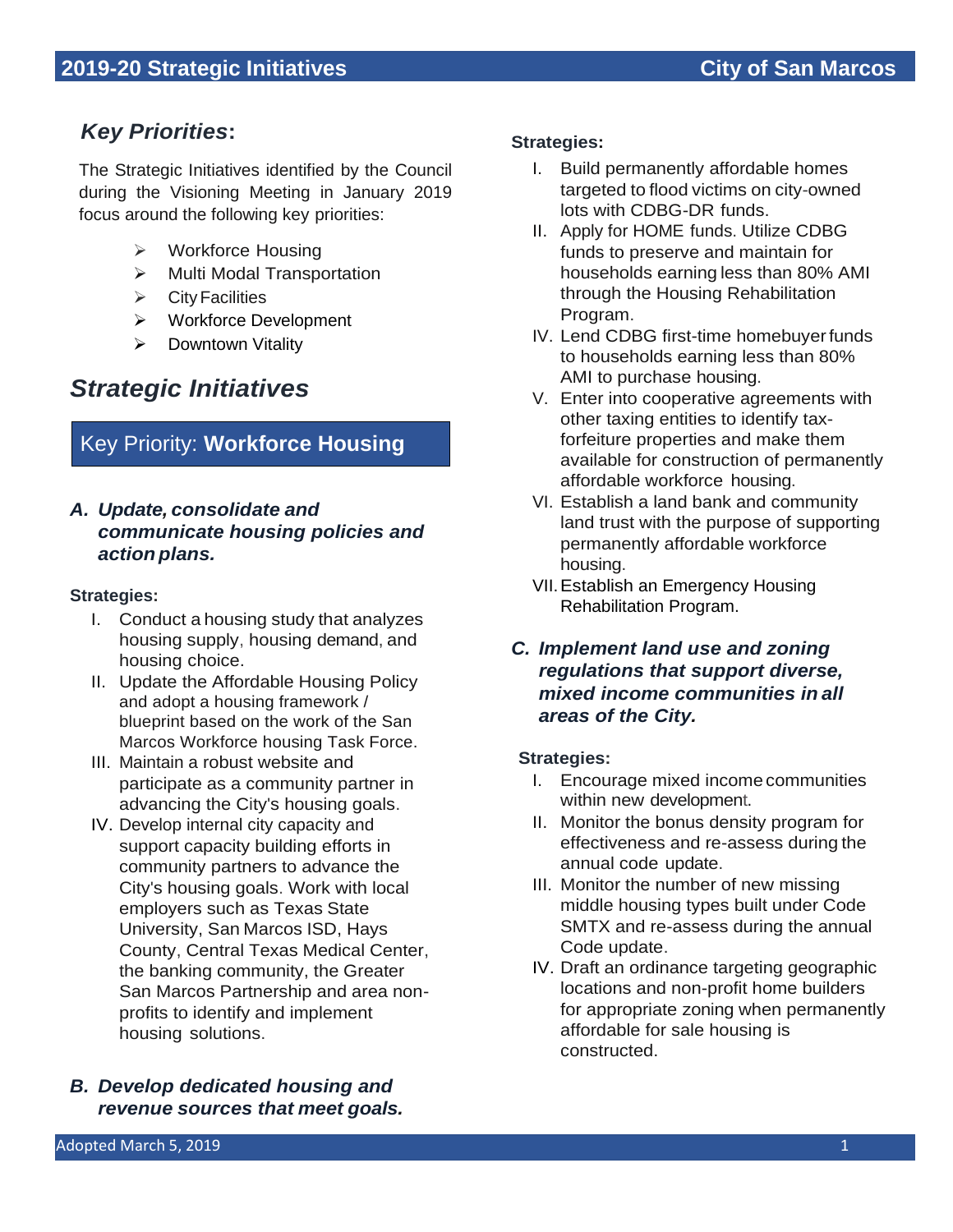# *Key Priorities***:**

The Strategic Initiatives identified by the Council during the Visioning Meeting in January 2019 focus around the following key priorities:

- ➢ Workforce Housing
- ➢ Multi Modal Transportation
- $\triangleright$  City Facilities
- ➢ Workforce Development
- ➢ Downtown Vitality

# *Strategic Initiatives*

# Key Priority: **Workforce Housing**

# *A. Update, consolidate and communicate housing policies and action plans.*

# **Strategies:**

- I. Conduct a housing study that analyzes housing supply, housing demand, and housing choice.
- II. Update the Affordable Housing Policy and adopt a housing framework / blueprint based on the work of the San Marcos Workforce housing Task Force.
- III. Maintain a robust website and participate as a community partner in advancing the City's housing goals.
- IV. Develop internal city capacity and support capacity building efforts in community partners to advance the City's housing goals. Work with local employers such as Texas State University, San Marcos ISD, Hays County, Central Texas Medical Center, the banking community, the Greater San Marcos Partnership and area nonprofits to identify and implement housing solutions.
- *B. Develop dedicated housing and revenue sources that meet goals.*

#### **Strategies:**

- I. Build permanently affordable homes targeted to flood victims on city-owned lots with CDBG-DR funds.
- II. Apply for HOME funds. Utilize CDBG funds to preserve and maintain for households earning less than 80% AMI through the Housing Rehabilitation Program.
- IV. Lend CDBG first-time homebuyerfunds to households earning less than 80% AMI to purchase housing.
- V. Enter into cooperative agreements with other taxing entities to identify taxforfeiture properties and make them available for construction of permanently affordable workforce housing.
- VI. Establish a land bank and community land trust with the purpose of supporting permanently affordable workforce housing.
- VII.Establish an Emergency Housing Rehabilitation Program.
- *C. Implement land use and zoning regulations that support diverse, mixed income communities in all areas of the City.*

- I. Encourage mixed income communities within new development.
- II. Monitor the bonus density program for effectiveness and re-assess during the annual code update.
- III. Monitor the number of new missing middle housing types built under Code SMTX and re-assess during the annual Code update.
- IV. Draft an ordinance targeting geographic locations and non-profit home builders for appropriate zoning when permanently affordable for sale housing is constructed.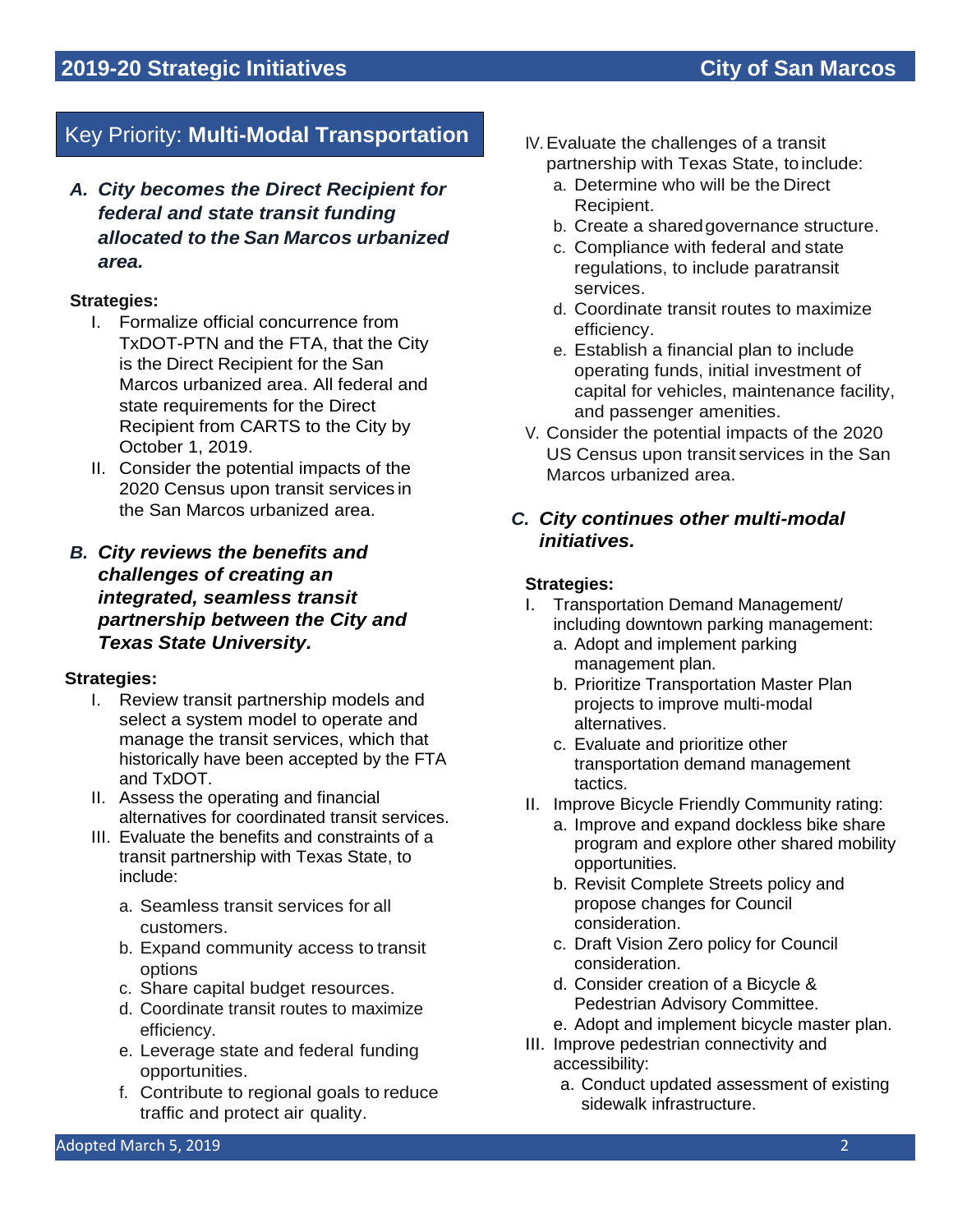# Key Priority: **Multi-Modal Transportation**

*A. City becomes the Direct Recipient for federal and state transit funding allocated to the San Marcos urbanized area.*

## **Strategies:**

- I. Formalize official concurrence from TxDOT-PTN and the FTA, that the City is the Direct Recipient for the San Marcos urbanized area. All federal and state requirements for the Direct Recipient from CARTS to the City by October 1, 2019.
- II. Consider the potential impacts of the 2020 Census upon transit services in the San Marcos urbanized area.

# *B. City reviews the benefits and challenges of creating an integrated, seamless transit partnership between the City and Texas State University.*

## **Strategies:**

- I. Review transit partnership models and select a system model to operate and manage the transit services, which that historically have been accepted by the FTA and TxDOT.
- II. Assess the operating and financial alternatives for coordinated transit services.
- III. Evaluate the benefits and constraints of a transit partnership with Texas State, to include:
	- a. Seamless transit services for all customers.
	- b. Expand community access to transit options
	- c. Share capital budget resources.
	- d. Coordinate transit routes to maximize efficiency.
	- e. Leverage state and federal funding opportunities.
	- f. Contribute to regional goals to reduce traffic and protect air quality.
- IV.Evaluate the challenges of a transit partnership with Texas State, toinclude:
	- a. Determine who will be the Direct Recipient.
	- b. Create a sharedgovernance structure.
	- c. Compliance with federal and state regulations, to include paratransit services.
	- d. Coordinate transit routes to maximize efficiency.
	- e. Establish a financial plan to include operating funds, initial investment of capital for vehicles, maintenance facility, and passenger amenities.
- V. Consider the potential impacts of the 2020 US Census upon transit services in the San Marcos urbanized area.

# *C. City continues other multi-modal initiatives.*

- I. Transportation Demand Management/ including downtown parking management:
	- a. Adopt and implement parking management plan.
	- b. Prioritize Transportation Master Plan projects to improve multi-modal alternatives.
	- c. Evaluate and prioritize other transportation demand management tactics.
- II. Improve Bicycle Friendly Community rating:
	- a. Improve and expand dockless bike share program and explore other shared mobility opportunities.
	- b. Revisit Complete Streets policy and propose changes for Council consideration.
	- c. Draft Vision Zero policy for Council consideration.
	- d. Consider creation of a Bicycle & Pedestrian Advisory Committee.
	- e. Adopt and implement bicycle master plan.
- III. Improve pedestrian connectivity and accessibility:
	- a. Conduct updated assessment of existing sidewalk infrastructure.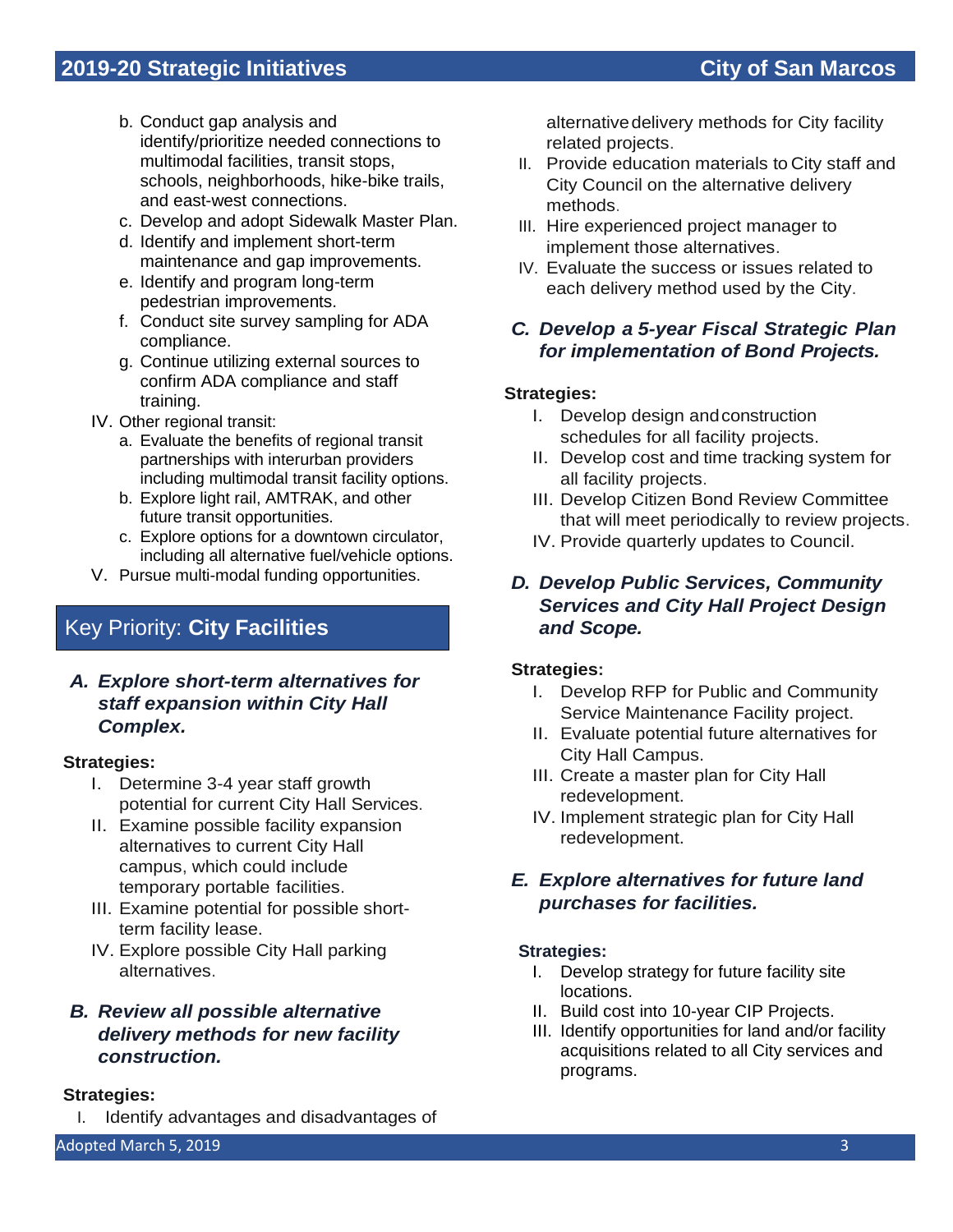- b. Conduct gap analysis and identify/prioritize needed connections to multimodal facilities, transit stops, schools, neighborhoods, hike-bike trails, and east-west connections.
- c. Develop and adopt Sidewalk Master Plan.
- d. Identify and implement short-term maintenance and gap improvements.
- e. Identify and program long-term pedestrian improvements.
- f. Conduct site survey sampling for ADA compliance.
- g. Continue utilizing external sources to confirm ADA compliance and staff training.
- IV. Other regional transit:
	- a. Evaluate the benefits of regional transit partnerships with interurban providers including multimodal transit facility options.
	- b. Explore light rail, AMTRAK, and other future transit opportunities.
	- c. Explore options for a downtown circulator, including all alternative fuel/vehicle options.
- V. Pursue multi-modal funding opportunities.

# Key Priority: **City Facilities**

# *A. Explore short-term alternatives for staff expansion within City Hall Complex.*

## **Strategies:**

- I. Determine 3-4 year staff growth potential for current City Hall Services.
- II. Examine possible facility expansion alternatives to current City Hall campus, which could include temporary portable facilities.
- III. Examine potential for possible shortterm facility lease.
- IV. Explore possible City Hall parking alternatives.

# *B. Review all possible alternative delivery methods for new facility construction.*

## **Strategies:**

I. Identify advantages and disadvantages of

alternativedelivery methods for City facility related projects.

- II. Provide education materials to City staff and City Council on the alternative delivery methods.
- III. Hire experienced project manager to implement those alternatives.
- IV. Evaluate the success or issues related to each delivery method used by the City.

# *C. Develop a 5-year Fiscal Strategic Plan for implementation of Bond Projects.*

# **Strategies:**

- I. Develop design andconstruction schedules for all facility projects.
- II. Develop cost and time tracking system for all facility projects.
- III. Develop Citizen Bond Review Committee that will meet periodically to review projects.
- IV. Provide quarterly updates to Council.

# *D. Develop Public Services, Community Services and City Hall Project Design and Scope.*

## **Strategies:**

- I. Develop RFP for Public and Community Service Maintenance Facility project.
- II. Evaluate potential future alternatives for City Hall Campus.
- III. Create a master plan for City Hall redevelopment.
- IV. Implement strategic plan for City Hall redevelopment.

# *E. Explore alternatives for future land purchases for facilities.*

- I. Develop strategy for future facility site locations.
- II. Build cost into 10-year CIP Projects.
- III. Identify opportunities for land and/or facility acquisitions related to all City services and programs.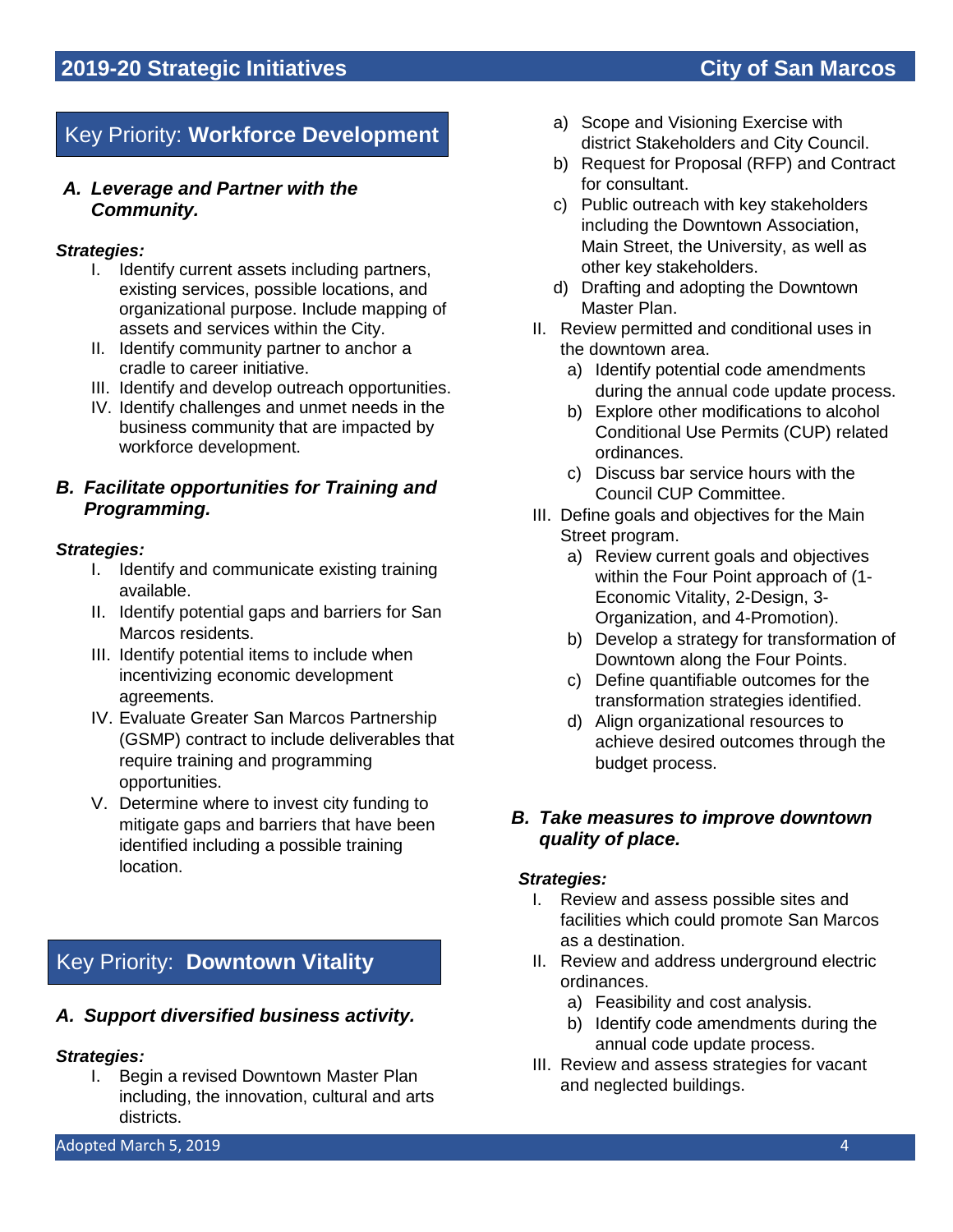# Key Priority: **Workforce Development**

## *A. Leverage and Partner with the Community.*

#### *Strategies:*

- I. Identify current assets including partners, existing services, possible locations, and organizational purpose. Include mapping of assets and services within the City.
- II. Identify community partner to anchor a cradle to career initiative.
- III. Identify and develop outreach opportunities.
- IV. Identify challenges and unmet needs in the business community that are impacted by workforce development.

# *B. Facilitate opportunities for Training and Programming.*

#### *Strategies:*

- I. Identify and communicate existing training available.
- II. Identify potential gaps and barriers for San Marcos residents.
- III. Identify potential items to include when incentivizing economic development agreements.
- IV. Evaluate Greater San Marcos Partnership (GSMP) contract to include deliverables that require training and programming opportunities.
- V. Determine where to invest city funding to mitigate gaps and barriers that have been identified including a possible training location.

# Key Priority: **Downtown Vitality**

## *A. Support diversified business activity.*

#### *Strategies:*

I. Begin a revised Downtown Master Plan including, the innovation, cultural and arts districts.

- a) Scope and Visioning Exercise with district Stakeholders and City Council.
- b) Request for Proposal (RFP) and Contract for consultant.
- c) Public outreach with key stakeholders including the Downtown Association, Main Street, the University, as well as other key stakeholders.
- d) Drafting and adopting the Downtown Master Plan.
- II. Review permitted and conditional uses in the downtown area.
	- a) Identify potential code amendments during the annual code update process.
	- b) Explore other modifications to alcohol Conditional Use Permits (CUP) related ordinances.
	- c) Discuss bar service hours with the Council CUP Committee.
- III. Define goals and objectives for the Main Street program.
	- a) Review current goals and objectives within the Four Point approach of (1- Economic Vitality, 2-Design, 3- Organization, and 4-Promotion).
	- b) Develop a strategy for transformation of Downtown along the Four Points.
	- c) Define quantifiable outcomes for the transformation strategies identified.
	- d) Align organizational resources to achieve desired outcomes through the budget process.

## *B. Take measures to improve downtown quality of place.*

- I. Review and assess possible sites and facilities which could promote San Marcos as a destination.
- II. Review and address underground electric ordinances.
	- a) Feasibility and cost analysis.
	- b) Identify code amendments during the annual code update process.
- III. Review and assess strategies for vacant and neglected buildings.